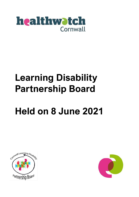

# **Learning Disability Partnership Board**

# **Held on 8 June 2021**



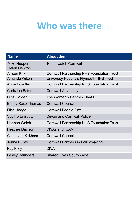## **Who was there**

| <b>Name</b>                        | <b>About them</b>                                |
|------------------------------------|--------------------------------------------------|
| Mike Hooper<br><b>Helen Newton</b> | <b>Healthwatch Cornwall</b>                      |
| <b>Allison Kirk</b>                | <b>Cornwall Partnership NHS Foundation Trust</b> |
| <b>Amanda Wilton</b>               | University Hospitals Plymouth NHS Trust          |
| Anne Bowdler                       | <b>Cornwall Partnership NHS Foundation Trust</b> |
| <b>Christine Bateman</b>           | <b>Cornwall Advocacy</b>                         |
| Dina Holder                        | The Women's Centre / DIVAs                       |
| <b>Ebony Rose Thomas</b>           | <b>Cornwall Council</b>                          |
| <b>Fliss Hedge</b>                 | <b>Cornwall People First</b>                     |
| <b>Sgt Flo Linscott</b>            | <b>Devon and Cornwall Police</b>                 |
| <b>Hannah Welch</b>                | <b>Cornwall Partnership NHS Foundation Trust</b> |
| <b>Heather Davison</b>             | <b>DIVAs and ICAN</b>                            |
| Cllr Jayne Kirkham                 | <b>Cornwall Council</b>                          |
| Jenna Pulley                       | <b>Cornwall Partners in Policymaking</b>         |
| <b>Kay Riley</b>                   | <b>DIVAs</b>                                     |
| <b>Lesley Saunders</b>             | <b>Shared Lives South West</b>                   |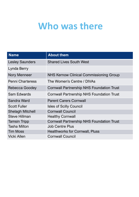## **Who was there**

| <b>Name</b>             | <b>About them</b>                                |
|-------------------------|--------------------------------------------------|
| <b>Lesley Saunders</b>  | <b>Shared Lives South West</b>                   |
| Lynda Berry             |                                                  |
| Nory Menneer            | <b>NHS Kernow Clinical Commissioning Group</b>   |
| <b>Penni Charteress</b> | The Women's Centre / DIVAs                       |
| <b>Rebecca Goodey</b>   | <b>Cornwall Partnership NHS Foundation Trust</b> |
| <b>Sam Edwards</b>      | <b>Cornwall Partnership NHS Foundation Trust</b> |
| Sandra Ward             | <b>Parent Carers Cornwall</b>                    |
| <b>Scott Fuller</b>     | <b>Isles of Scilly Council</b>                   |
| <b>Shelagh Mitchell</b> | <b>Cornwall Council</b>                          |
| <b>Steve Hillman</b>    | <b>Healthy Cornwall</b>                          |
| <b>Tamsin Tripp</b>     | <b>Cornwall Partnership NHS Foundation Trust</b> |
| <b>Tasha Milton</b>     | <b>Job Centre Plus</b>                           |
| <b>Tim Moss</b>         | <b>Healthworks for Cornwall, Pluss</b>           |
| <b>Vicki Allen</b>      | <b>Cornwall Council</b>                          |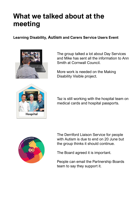### **What we talked about at the meeting**

#### **Learning Disability, Autism and Carers Service Users Event**



The group talked a lot about Day Services and Mike has sent all the information to Ann Smith at Cornwall Council.

More work is needed on the Making Disability Visible project.



Taz is still working with the hospital team on medical cards and hospital passports.



The Derriford Liaison Service for people with Autism is due to end on 20 June but the group thinks it should continue.

The Board agreed it is important.

People can email the Partnership Boards team to say they support it.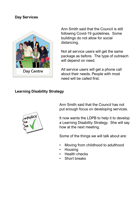#### **Day Services**



Ann Smith said that the Council is still following Covid-19 guidelines. Some buildings do not allow for social distancing.

Not all service users will get the same package as before. The type of outreach will depend on need.

All service users will get a phone call about their needs. People with most need will be called first.

#### **Learning Disability Strategy**



Ann Smith said that the Council has not put enough focus on developing services.

It now wants the LDPB to help it to develop a Learning Disability Strategy. She will say how at the next meeting.

Some of the things we will talk about are:

- Moving from childhood to adulthood
- Housing
- Health checks
- Short breaks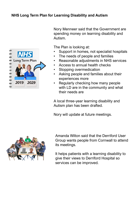#### **NHS Long Term Plan for Learning Disability and Autism**



Nory Menneer said that the Government are spending money on learning disability and Autism.

The Plan is looking at:

- Support in homes, not specialist hospitals
- The needs of people and families
- Reasonable adjustments in NHS services
- Access to annual health checks
- Stopping overmedication
- Asking people and families about their experiences more
- Regularly checking how many people with LD are in the community and what their needs are

A local three-year learning disability and Autism plan has been drafted.

Nory will update at future meetings.

![](_page_5_Picture_13.jpeg)

Amanda Wilton said that the Derriford User Group wants people from Cornwall to attend its meetings.

It helps patients with a learning disability to give their views to Derriford Hospital so services can be improved.